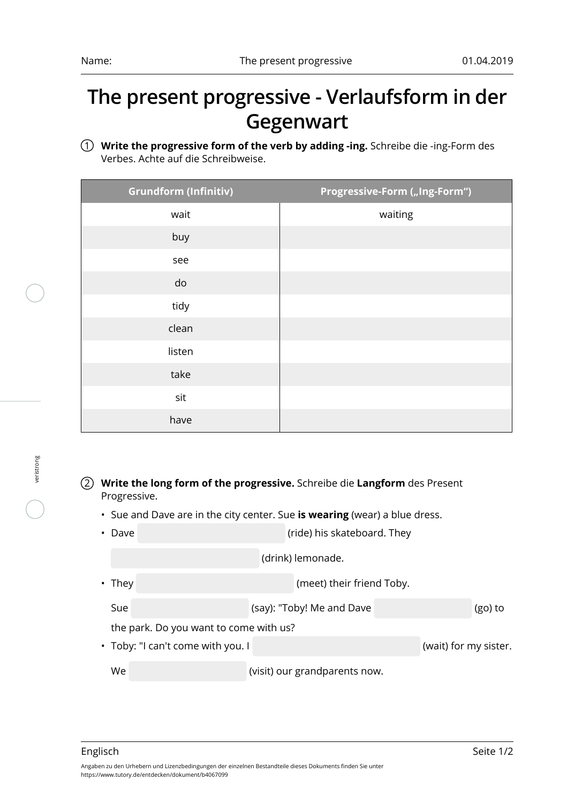## **The present progressive - Verlaufsform in der Gegenwart**

1 **Write the progressive form of the verb by adding -ing.** Schreibe die -ing-Form des Verbes. Achte auf die Schreibweise.

| <b>Grundform (Infinitiv)</b> | Progressive-Form ("Ing-Form") |
|------------------------------|-------------------------------|
| wait                         | waiting                       |
| buy                          |                               |
| see                          |                               |
| do                           |                               |
| tidy                         |                               |
| clean                        |                               |
| listen                       |                               |
| take                         |                               |
| sit                          |                               |
| have                         |                               |

## 2 **Write the long form of the progressive.** Schreibe die **Langform** des Present Progressive.

• Sue and Dave are in the city center. Sue **is wearing** (wear) a blue dress.

| • Dave | (ride) his skateboard. They |
|--------|-----------------------------|
|        |                             |

| (drink) lemonade. |  |
|-------------------|--|
|-------------------|--|

• They **the contract of the contract of the contract of the contract of the contract of the contract of the contract of the contract of the contract of the contract of the contract of the contract of the contract of the co** 

Sue (say): "Toby! Me and Dave (go) to (go) to

the park. Do you want to come with us?

• Toby: "I can't come with you. I interest of the state of the state (wait) for my sister.

We (visit) our grandparents now.